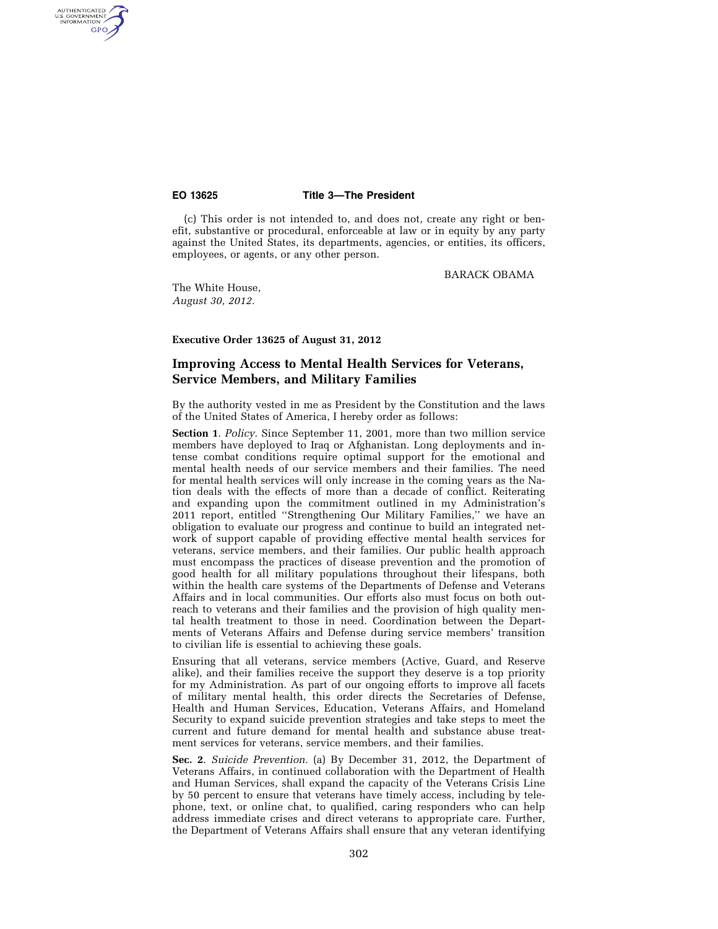AUTHENTICATED<br>U.S. GOVERNMENT<br>INFORMATION GPO

### **EO 13625 Title 3—The President**

(c) This order is not intended to, and does not, create any right or benefit, substantive or procedural, enforceable at law or in equity by any party against the United States, its departments, agencies, or entities, its officers, employees, or agents, or any other person.

BARACK OBAMA

The White House, *August 30, 2012.* 

#### **Executive Order 13625 of August 31, 2012**

# **Improving Access to Mental Health Services for Veterans, Service Members, and Military Families**

By the authority vested in me as President by the Constitution and the laws of the United States of America, I hereby order as follows:

**Section 1**. *Policy.* Since September 11, 2001, more than two million service members have deployed to Iraq or Afghanistan. Long deployments and intense combat conditions require optimal support for the emotional and mental health needs of our service members and their families. The need for mental health services will only increase in the coming years as the Nation deals with the effects of more than a decade of conflict. Reiterating and expanding upon the commitment outlined in my Administration's 2011 report, entitled ''Strengthening Our Military Families,'' we have an obligation to evaluate our progress and continue to build an integrated network of support capable of providing effective mental health services for veterans, service members, and their families. Our public health approach must encompass the practices of disease prevention and the promotion of good health for all military populations throughout their lifespans, both within the health care systems of the Departments of Defense and Veterans Affairs and in local communities. Our efforts also must focus on both outreach to veterans and their families and the provision of high quality mental health treatment to those in need. Coordination between the Departments of Veterans Affairs and Defense during service members' transition to civilian life is essential to achieving these goals.

Ensuring that all veterans, service members (Active, Guard, and Reserve alike), and their families receive the support they deserve is a top priority for my Administration. As part of our ongoing efforts to improve all facets of military mental health, this order directs the Secretaries of Defense, Health and Human Services, Education, Veterans Affairs, and Homeland Security to expand suicide prevention strategies and take steps to meet the current and future demand for mental health and substance abuse treatment services for veterans, service members, and their families.

**Sec. 2**. *Suicide Prevention.* (a) By December 31, 2012, the Department of Veterans Affairs, in continued collaboration with the Department of Health and Human Services, shall expand the capacity of the Veterans Crisis Line by 50 percent to ensure that veterans have timely access, including by telephone, text, or online chat, to qualified, caring responders who can help address immediate crises and direct veterans to appropriate care. Further, the Department of Veterans Affairs shall ensure that any veteran identifying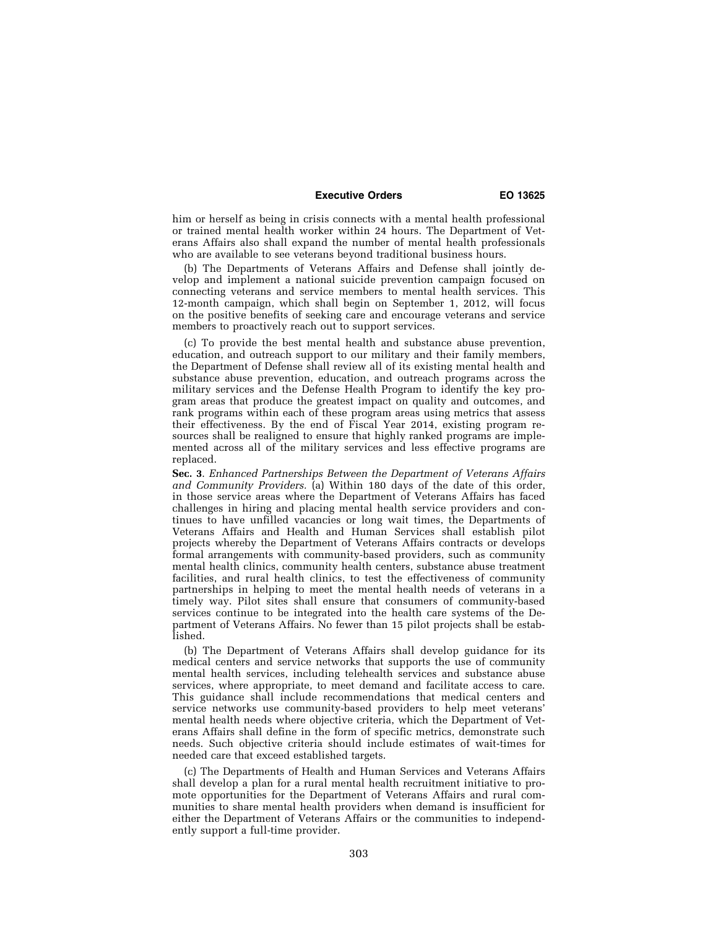## **Executive Orders EO 13625**

him or herself as being in crisis connects with a mental health professional or trained mental health worker within 24 hours. The Department of Veterans Affairs also shall expand the number of mental health professionals who are available to see veterans beyond traditional business hours.

(b) The Departments of Veterans Affairs and Defense shall jointly develop and implement a national suicide prevention campaign focused on connecting veterans and service members to mental health services. This 12-month campaign, which shall begin on September 1, 2012, will focus on the positive benefits of seeking care and encourage veterans and service members to proactively reach out to support services.

(c) To provide the best mental health and substance abuse prevention, education, and outreach support to our military and their family members, the Department of Defense shall review all of its existing mental health and substance abuse prevention, education, and outreach programs across the military services and the Defense Health Program to identify the key program areas that produce the greatest impact on quality and outcomes, and rank programs within each of these program areas using metrics that assess their effectiveness. By the end of Fiscal Year 2014, existing program resources shall be realigned to ensure that highly ranked programs are implemented across all of the military services and less effective programs are replaced.

**Sec. 3**. *Enhanced Partnerships Between the Department of Veterans Affairs and Community Providers.* (a) Within 180 days of the date of this order, in those service areas where the Department of Veterans Affairs has faced challenges in hiring and placing mental health service providers and continues to have unfilled vacancies or long wait times, the Departments of Veterans Affairs and Health and Human Services shall establish pilot projects whereby the Department of Veterans Affairs contracts or develops formal arrangements with community-based providers, such as community mental health clinics, community health centers, substance abuse treatment facilities, and rural health clinics, to test the effectiveness of community partnerships in helping to meet the mental health needs of veterans in a timely way. Pilot sites shall ensure that consumers of community-based services continue to be integrated into the health care systems of the Department of Veterans Affairs. No fewer than 15 pilot projects shall be established.

(b) The Department of Veterans Affairs shall develop guidance for its medical centers and service networks that supports the use of community mental health services, including telehealth services and substance abuse services, where appropriate, to meet demand and facilitate access to care. This guidance shall include recommendations that medical centers and service networks use community-based providers to help meet veterans' mental health needs where objective criteria, which the Department of Veterans Affairs shall define in the form of specific metrics, demonstrate such needs. Such objective criteria should include estimates of wait-times for needed care that exceed established targets.

(c) The Departments of Health and Human Services and Veterans Affairs shall develop a plan for a rural mental health recruitment initiative to promote opportunities for the Department of Veterans Affairs and rural communities to share mental health providers when demand is insufficient for either the Department of Veterans Affairs or the communities to independently support a full-time provider.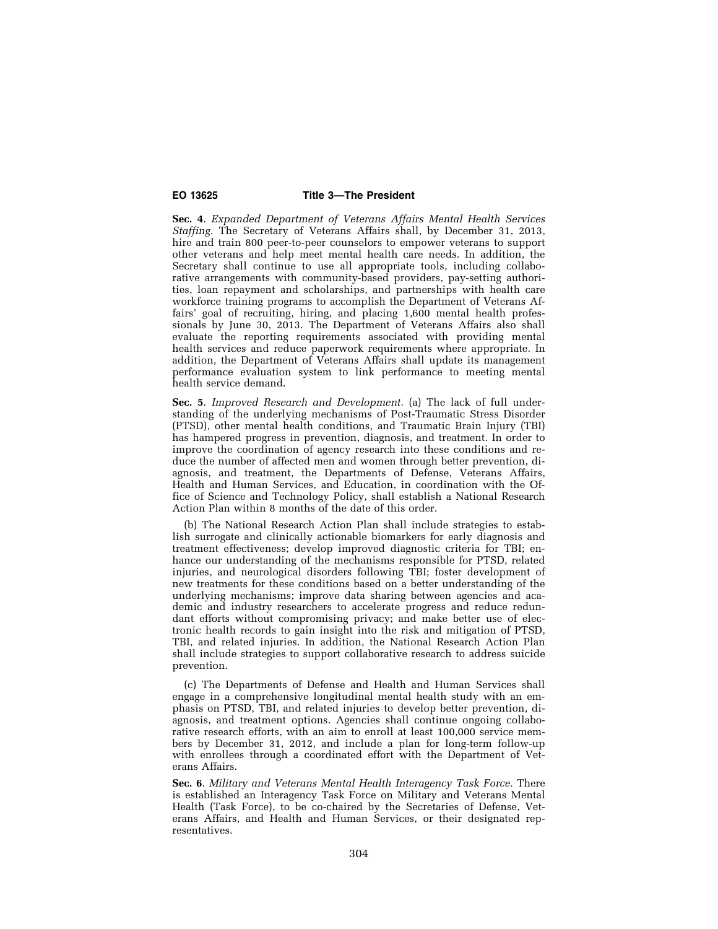### **EO 13625 Title 3—The President**

**Sec. 4**. *Expanded Department of Veterans Affairs Mental Health Services Staffing.* The Secretary of Veterans Affairs shall, by December 31, 2013, hire and train 800 peer-to-peer counselors to empower veterans to support other veterans and help meet mental health care needs. In addition, the Secretary shall continue to use all appropriate tools, including collaborative arrangements with community-based providers, pay-setting authorities, loan repayment and scholarships, and partnerships with health care workforce training programs to accomplish the Department of Veterans Affairs' goal of recruiting, hiring, and placing 1,600 mental health professionals by June 30, 2013. The Department of Veterans Affairs also shall evaluate the reporting requirements associated with providing mental health services and reduce paperwork requirements where appropriate. In addition, the Department of Veterans Affairs shall update its management performance evaluation system to link performance to meeting mental health service demand.

**Sec. 5**. *Improved Research and Development.* (a) The lack of full understanding of the underlying mechanisms of Post-Traumatic Stress Disorder (PTSD), other mental health conditions, and Traumatic Brain Injury (TBI) has hampered progress in prevention, diagnosis, and treatment. In order to improve the coordination of agency research into these conditions and reduce the number of affected men and women through better prevention, diagnosis, and treatment, the Departments of Defense, Veterans Affairs, Health and Human Services, and Education, in coordination with the Office of Science and Technology Policy, shall establish a National Research Action Plan within 8 months of the date of this order.

(b) The National Research Action Plan shall include strategies to establish surrogate and clinically actionable biomarkers for early diagnosis and treatment effectiveness; develop improved diagnostic criteria for TBI; enhance our understanding of the mechanisms responsible for PTSD, related injuries, and neurological disorders following TBI; foster development of new treatments for these conditions based on a better understanding of the underlying mechanisms; improve data sharing between agencies and academic and industry researchers to accelerate progress and reduce redundant efforts without compromising privacy; and make better use of electronic health records to gain insight into the risk and mitigation of PTSD, TBI, and related injuries. In addition, the National Research Action Plan shall include strategies to support collaborative research to address suicide prevention.

(c) The Departments of Defense and Health and Human Services shall engage in a comprehensive longitudinal mental health study with an emphasis on PTSD, TBI, and related injuries to develop better prevention, diagnosis, and treatment options. Agencies shall continue ongoing collaborative research efforts, with an aim to enroll at least 100,000 service members by December 31, 2012, and include a plan for long-term follow-up with enrollees through a coordinated effort with the Department of Veterans Affairs.

**Sec. 6**. *Military and Veterans Mental Health Interagency Task Force.* There is established an Interagency Task Force on Military and Veterans Mental Health (Task Force), to be co-chaired by the Secretaries of Defense, Veterans Affairs, and Health and Human Services, or their designated representatives.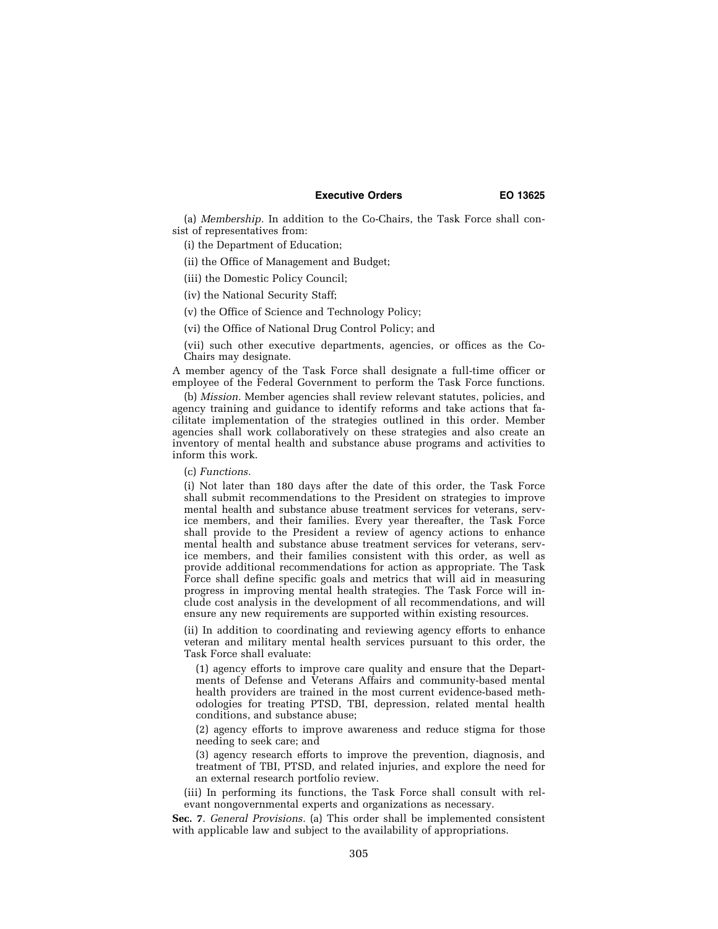# **Executive Orders EO 13625**

(a) *Membership.* In addition to the Co-Chairs, the Task Force shall consist of representatives from:

(i) the Department of Education;

(ii) the Office of Management and Budget;

(iii) the Domestic Policy Council;

(iv) the National Security Staff;

(v) the Office of Science and Technology Policy;

(vi) the Office of National Drug Control Policy; and

(vii) such other executive departments, agencies, or offices as the Co-Chairs may designate.

A member agency of the Task Force shall designate a full-time officer or employee of the Federal Government to perform the Task Force functions.

(b) *Mission.* Member agencies shall review relevant statutes, policies, and agency training and guidance to identify reforms and take actions that facilitate implementation of the strategies outlined in this order. Member agencies shall work collaboratively on these strategies and also create an inventory of mental health and substance abuse programs and activities to inform this work.

(c) *Functions.* 

(i) Not later than 180 days after the date of this order, the Task Force shall submit recommendations to the President on strategies to improve mental health and substance abuse treatment services for veterans, service members, and their families. Every year thereafter, the Task Force shall provide to the President a review of agency actions to enhance mental health and substance abuse treatment services for veterans, service members, and their families consistent with this order, as well as provide additional recommendations for action as appropriate. The Task Force shall define specific goals and metrics that will aid in measuring progress in improving mental health strategies. The Task Force will include cost analysis in the development of all recommendations, and will ensure any new requirements are supported within existing resources.

(ii) In addition to coordinating and reviewing agency efforts to enhance veteran and military mental health services pursuant to this order, the Task Force shall evaluate:

(1) agency efforts to improve care quality and ensure that the Departments of Defense and Veterans Affairs and community-based mental health providers are trained in the most current evidence-based methodologies for treating PTSD, TBI, depression, related mental health conditions, and substance abuse;

(2) agency efforts to improve awareness and reduce stigma for those needing to seek care; and

(3) agency research efforts to improve the prevention, diagnosis, and treatment of TBI, PTSD, and related injuries, and explore the need for an external research portfolio review.

(iii) In performing its functions, the Task Force shall consult with relevant nongovernmental experts and organizations as necessary.

**Sec. 7**. *General Provisions.* (a) This order shall be implemented consistent with applicable law and subject to the availability of appropriations.